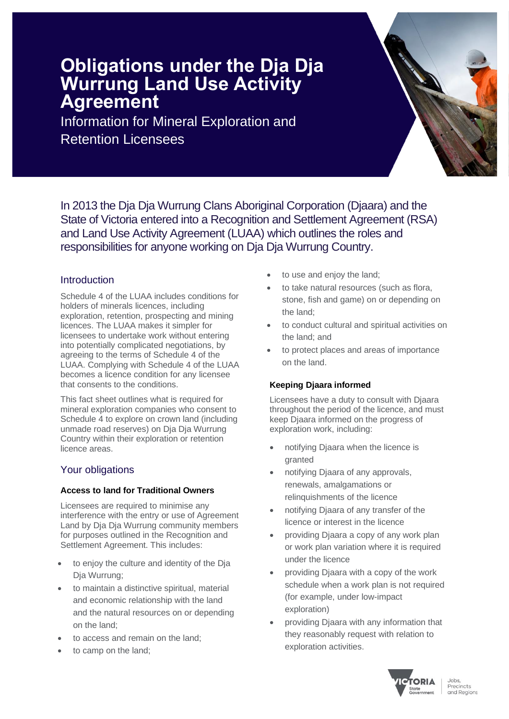# **Obligations under the Dja Dja Wurrung Land Use Activity Agreement**

Information for Mineral Exploration and Retention Licensees

In 2013 the Dja Dja Wurrung Clans Aboriginal Corporation (Djaara) and the State of Victoria entered into a Recognition and Settlement Agreement (RSA) and Land Use Activity Agreement (LUAA) which outlines the roles and responsibilities for anyone working on Dja Dja Wurrung Country.

# Introduction

Schedule 4 of the LUAA includes conditions for holders of minerals licences, including exploration, retention, prospecting and mining licences. The LUAA makes it simpler for licensees to undertake work without entering into potentially complicated negotiations, by agreeing to the terms of Schedule 4 of the LUAA. Complying with Schedule 4 of the LUAA becomes a licence condition for any licensee that consents to the conditions.

This fact sheet outlines what is required for mineral exploration companies who consent to Schedule 4 to explore on crown land (including unmade road reserves) on Dja Dja Wurrung Country within their exploration or retention licence areas.

# Your obligations

## **Access to land for Traditional Owners**

Licensees are required to minimise any interference with the entry or use of Agreement Land by Dja Dja Wurrung community members for purposes outlined in the Recognition and Settlement Agreement. This includes:

- to enjoy the culture and identity of the Dja Dja Wurrung;
- to maintain a distinctive spiritual, material and economic relationship with the land and the natural resources on or depending on the land;
- to access and remain on the land;
- to camp on the land;
- to use and enjoy the land;
- to take natural resources (such as flora, stone, fish and game) on or depending on the land;
- to conduct cultural and spiritual activities on the land; and
- to protect places and areas of importance on the land.

# **Keeping Djaara informed**

Licensees have a duty to consult with Djaara throughout the period of the licence, and must keep Djaara informed on the progress of exploration work, including:

- notifying Djaara when the licence is granted
- notifying Djaara of any approvals, renewals, amalgamations or relinquishments of the licence
- notifying Djaara of any transfer of the licence or interest in the licence
- providing Djaara a copy of any work plan or work plan variation where it is required under the licence
- providing Djaara with a copy of the work schedule when a work plan is not required (for example, under low-impact exploration)
- providing Djaara with any information that they reasonably request with relation to exploration activities.